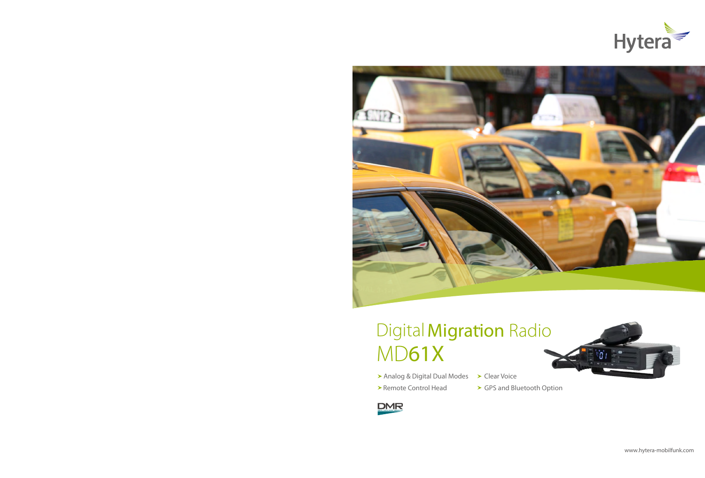



# Digital Migration Radio MD61X

- > Analog & Digital Dual Modes > Clear Voice
- 
- 
- ▶ Remote Control Head > GPS and Bluetooth Option

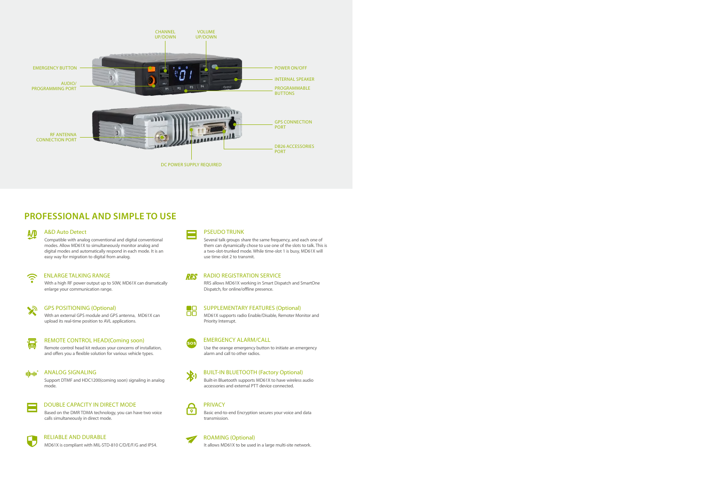

## **PROFESSIONAL AND SIMPLE TO USE**

### A&D Auto Detect

Compatible with analog conventional and digital conventional modes. Allow MD61X to simultaneously monitor analog and digital modes and automatically respond in each mode. It is an easy way for migration to digital from analog.

## ENLARGE TALKING RANGE

With a high RF power output up to 50W, MD61X can dramatically enlarge your communication range.



A/D

## GPS POSITIONING (Optional)

With an external GPS module and GPS antenna, MD61X can upload its real-time position to AVL applications.



## REMOTE CONTROL HEAD(Coming soon)

Remote control head kit reduces your concerns of installation, and offers you a flexible solution for various vehicle types.

## alledi<sup>\*</sup>

## ANALOG SIGNALING

Support DTMF and HDC1200(coming soon) signaling in analog mode.



DOUBLE CAPACITY IN DIRECT MODE Based on the DMR TDMA technology, you can have two voice

calls simultaneously in direct mode.

## RELIABLE AND DURABLE

MD61X is compliant with MIL-STD-810 C/D/E/F/G and IP54.



### PSEUDO TRUNK

Several talk groups share the same frequency, and each one of them can dynamically chose to use one of the slots to talk. This is a two-slot-trunked mode. While time-slot 1 is busy, MD61X will use time-slot 2 to transmit.

#### **RRS** RADIO REGISTRATION SERVICE

RRS allows MD61X working in Smart Dispatch and SmartOne Dispatch, for online/offline presence.



### SUPPLEMENTARY FEATURES (Optional)

MD61X supports radio Enable/Disable, Remoter Monitor and Priority Interrupt.



### EMERGENCY ALARM/CALL





## BUILT-IN BLUETOOTH (Factory Optional)

Built-in Bluetooth supports MD61X to have wireless audio accessories and external PTT device connected.



## PRIVACY

Basic end-to-end Encryption secures your voice and data transmission.

## ROAMING (Optional)

It allows MD61X to be used in a large multi-site network.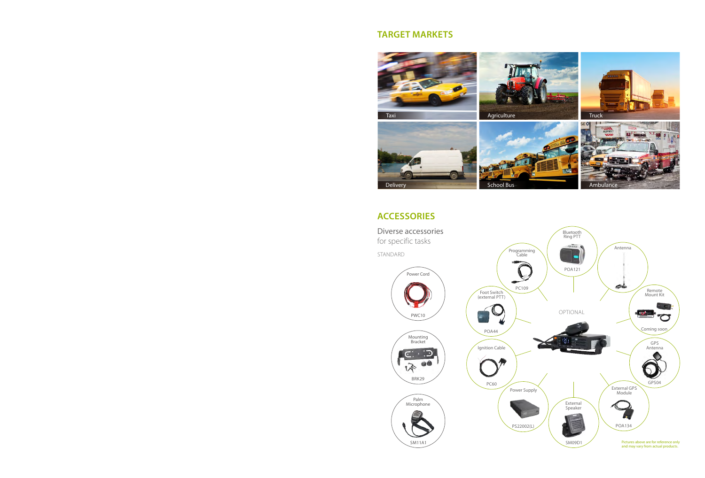## **TARGET MARKETS**



## **ACCESSORIES**